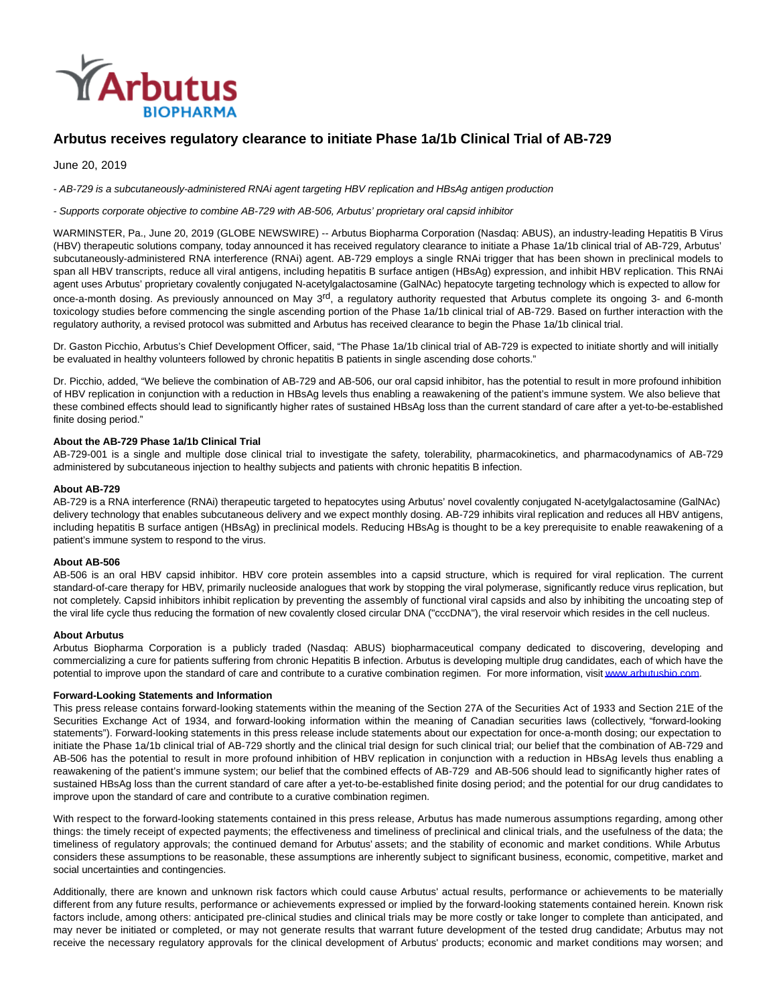

# **Arbutus receives regulatory clearance to initiate Phase 1a/1b Clinical Trial of AB-729**

June 20, 2019

- AB-729 is a subcutaneously-administered RNAi agent targeting HBV replication and HBsAg antigen production

#### - Supports corporate objective to combine AB-729 with AB-506, Arbutus' proprietary oral capsid inhibitor

WARMINSTER, Pa., June 20, 2019 (GLOBE NEWSWIRE) -- Arbutus Biopharma Corporation (Nasdaq: ABUS), an industry-leading Hepatitis B Virus (HBV) therapeutic solutions company, today announced it has received regulatory clearance to initiate a Phase 1a/1b clinical trial of AB-729, Arbutus' subcutaneously-administered RNA interference (RNAi) agent. AB-729 employs a single RNAi trigger that has been shown in preclinical models to span all HBV transcripts, reduce all viral antigens, including hepatitis B surface antigen (HBsAg) expression, and inhibit HBV replication. This RNAi agent uses Arbutus' proprietary covalently conjugated N-acetylgalactosamine (GalNAc) hepatocyte targeting technology which is expected to allow for once-a-month dosing. As previously announced on May 3<sup>rd</sup>, a regulatory authority requested that Arbutus complete its ongoing 3- and 6-month toxicology studies before commencing the single ascending portion of the Phase 1a/1b clinical trial of AB-729. Based on further interaction with the regulatory authority, a revised protocol was submitted and Arbutus has received clearance to begin the Phase 1a/1b clinical trial.

Dr. Gaston Picchio, Arbutus's Chief Development Officer, said, "The Phase 1a/1b clinical trial of AB-729 is expected to initiate shortly and will initially be evaluated in healthy volunteers followed by chronic hepatitis B patients in single ascending dose cohorts."

Dr. Picchio, added, "We believe the combination of AB-729 and AB-506, our oral capsid inhibitor, has the potential to result in more profound inhibition of HBV replication in conjunction with a reduction in HBsAg levels thus enabling a reawakening of the patient's immune system. We also believe that these combined effects should lead to significantly higher rates of sustained HBsAg loss than the current standard of care after a yet-to-be-established finite dosing period."

## **About the AB-729 Phase 1a/1b Clinical Trial**

AB-729-001 is a single and multiple dose clinical trial to investigate the safety, tolerability, pharmacokinetics, and pharmacodynamics of AB-729 administered by subcutaneous injection to healthy subjects and patients with chronic hepatitis B infection.

## **About AB-729**

AB-729 is a RNA interference (RNAi) therapeutic targeted to hepatocytes using Arbutus' novel covalently conjugated N-acetylgalactosamine (GalNAc) delivery technology that enables subcutaneous delivery and we expect monthly dosing. AB-729 inhibits viral replication and reduces all HBV antigens, including hepatitis B surface antigen (HBsAg) in preclinical models. Reducing HBsAg is thought to be a key prerequisite to enable reawakening of a patient's immune system to respond to the virus.

#### **About AB-506**

AB-506 is an oral HBV capsid inhibitor. HBV core protein assembles into a capsid structure, which is required for viral replication. The current standard-of-care therapy for HBV, primarily nucleoside analogues that work by stopping the viral polymerase, significantly reduce virus replication, but not completely. Capsid inhibitors inhibit replication by preventing the assembly of functional viral capsids and also by inhibiting the uncoating step of the viral life cycle thus reducing the formation of new covalently closed circular DNA ("cccDNA"), the viral reservoir which resides in the cell nucleus.

#### **About Arbutus**

Arbutus Biopharma Corporation is a publicly traded (Nasdaq: ABUS) biopharmaceutical company dedicated to discovering, developing and commercializing a cure for patients suffering from chronic Hepatitis B infection. Arbutus is developing multiple drug candidates, each of which have the potential to improve upon the standard of care and contribute to a curative combination regimen. For more information, visit www.arbutusbio.com.

# **Forward-Looking Statements and Information**

This press release contains forward-looking statements within the meaning of the Section 27A of the Securities Act of 1933 and Section 21E of the Securities Exchange Act of 1934, and forward-looking information within the meaning of Canadian securities laws (collectively, "forward-looking statements"). Forward-looking statements in this press release include statements about our expectation for once-a-month dosing; our expectation to initiate the Phase 1a/1b clinical trial of AB-729 shortly and the clinical trial design for such clinical trial; our belief that the combination of AB-729 and AB-506 has the potential to result in more profound inhibition of HBV replication in conjunction with a reduction in HBsAg levels thus enabling a reawakening of the patient's immune system; our belief that the combined effects of AB-729 and AB-506 should lead to significantly higher rates of sustained HBsAg loss than the current standard of care after a yet-to-be-established finite dosing period; and the potential for our drug candidates to improve upon the standard of care and contribute to a curative combination regimen.

With respect to the forward-looking statements contained in this press release, Arbutus has made numerous assumptions regarding, among other things: the timely receipt of expected payments; the effectiveness and timeliness of preclinical and clinical trials, and the usefulness of the data; the timeliness of regulatory approvals; the continued demand for Arbutus' assets; and the stability of economic and market conditions. While Arbutus considers these assumptions to be reasonable, these assumptions are inherently subject to significant business, economic, competitive, market and social uncertainties and contingencies.

Additionally, there are known and unknown risk factors which could cause Arbutus' actual results, performance or achievements to be materially different from any future results, performance or achievements expressed or implied by the forward-looking statements contained herein. Known risk factors include, among others: anticipated pre-clinical studies and clinical trials may be more costly or take longer to complete than anticipated, and may never be initiated or completed, or may not generate results that warrant future development of the tested drug candidate; Arbutus may not receive the necessary regulatory approvals for the clinical development of Arbutus' products; economic and market conditions may worsen; and